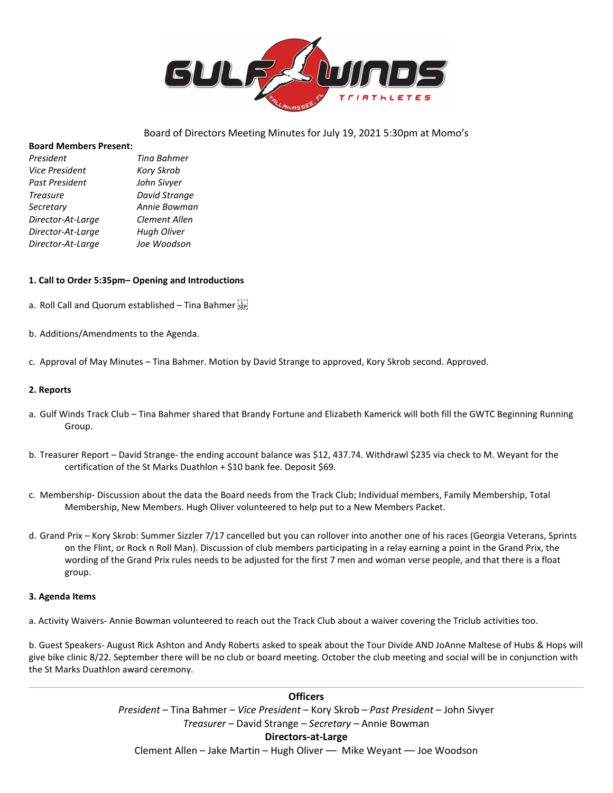

## Board of Directors Meeting Minutes for July 19, 2021 5:30pm at Momo's

#### **Board Members Present:**

| Tina Bahmer   |
|---------------|
| Kory Skrob    |
| John Sivyer   |
| David Strange |
| Annie Bowman  |
| Clement Allen |
| Hugh Oliver   |
| Joe Woodson   |
|               |

### **1. Call to Order 5:35pm– Opening and Introductions**

- a. Roll Call and Quorum established Tina Bahmer
- b. Additions/Amendments to the Agenda.
- c. Approval of May Minutes Tina Bahmer. Motion by David Strange to approved, Kory Skrob second. Approved.

#### **2. Reports**

- a. Gulf Winds Track Club Tina Bahmer shared that Brandy Fortune and Elizabeth Kamerick will both fill the GWTC Beginning Running Group.
- b. Treasurer Report David Strange- the ending account balance was \$12, 437.74. Withdrawl \$235 via check to M. Weyant for the certification of the St Marks Duathlon + \$10 bank fee. Deposit \$69.
- c. Membership- Discussion about the data the Board needs from the Track Club; Individual members, Family Membership, Total Membership, New Members. Hugh Oliver volunteered to help put to a New Members Packet.
- d. Grand Prix Kory Skrob: Summer Sizzler 7/17 cancelled but you can rollover into another one of his races (Georgia Veterans, Sprints on the Flint, or Rock n Roll Man). Discussion of club members participating in a relay earning a point in the Grand Prix, the wording of the Grand Prix rules needs to be adjusted for the first 7 men and woman verse people, and that there is a float group.

#### **3. Agenda Items**

a. Activity Waivers- Annie Bowman volunteered to reach out the Track Club about a waiver covering the Triclub activities too.

b. Guest Speakers- August Rick Ashton and Andy Roberts asked to speak about the Tour Divide AND JoAnne Maltese of Hubs & Hops will give bike clinic 8/22. September there will be no club or board meeting. October the club meeting and social will be in conjunction with the St Marks Duathlon award ceremony.

> **Officers** *President* – Tina Bahmer – *Vice President* – Kory Skrob – *Past President* – John Sivyer *Treasurer* – David Strange – *Secretary –* Annie Bowman **Directors-at-Large** Clement Allen – Jake Martin – Hugh Oliver –– Mike Weyant –– Joe Woodson